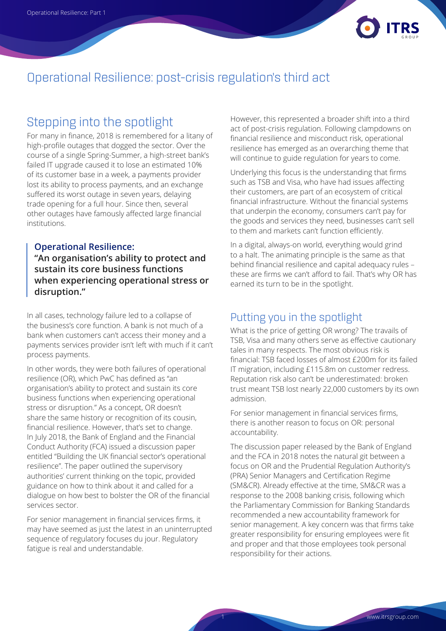

## Operational Resilience: post-crisis regulation's third act

# Stepping into the spotlight

For many in finance, 2018 is remembered for a litany of high-profile outages that dogged the sector. Over the course of a single Spring-Summer, a high-street bank's failed IT upgrade caused it to lose an estimated 10% of its customer base in a week, a payments provider lost its ability to process payments, and an exchange suffered its worst outage in seven years, delaying trade opening for a full hour. Since then, several other outages have famously affected large financial institutions.

#### **Operational Resilience:**

**"An organisation's ability to protect and sustain its core business functions when experiencing operational stress or disruption."**

In all cases, technology failure led to a collapse of the business's core function. A bank is not much of a bank when customers can't access their money and a payments services provider isn't left with much if it can't process payments.

In other words, they were both failures of operational resilience (OR), which PwC has defined as "an organisation's ability to protect and sustain its core business functions when experiencing operational stress or disruption." As a concept, OR doesn't share the same history or recognition of its cousin, financial resilience. However, that's set to change. In July 2018, the Bank of England and the Financial Conduct Authority (FCA) issued a discussion paper entitled "Building the UK financial sector's operational resilience". The paper outlined the supervisory authorities' current thinking on the topic, provided guidance on how to think about it and called for a dialogue on how best to bolster the OR of the financial services sector.

For senior management in financial services firms, it may have seemed as just the latest in an uninterrupted sequence of regulatory focuses du jour. Regulatory fatigue is real and understandable.

However, this represented a broader shift into a third act of post-crisis regulation. Following clampdowns on financial resilience and misconduct risk, operational resilience has emerged as an overarching theme that will continue to guide regulation for years to come.

Underlying this focus is the understanding that firms such as TSB and Visa, who have had issues affecting their customers, are part of an ecosystem of critical financial infrastructure. Without the financial systems that underpin the economy, consumers can't pay for the goods and services they need, businesses can't sell to them and markets can't function efficiently.

In a digital, always-on world, everything would grind to a halt. The animating principle is the same as that behind financial resilience and capital adequacy rules – these are firms we can't afford to fail. That's why OR has earned its turn to be in the spotlight.

### Putting you in the spotlight

What is the price of getting OR wrong? The travails of TSB, Visa and many others serve as effective cautionary tales in many respects. The most obvious risk is financial: TSB faced losses of almost £200m for its failed IT migration, including £115.8m on customer redress. Reputation risk also can't be underestimated: broken trust meant TSB lost nearly 22,000 customers by its own admission.

For senior management in financial services firms, there is another reason to focus on OR: personal accountability.

The discussion paper released by the Bank of England and the FCA in 2018 notes the natural git between a focus on OR and the Prudential Regulation Authority's (PRA) Senior Managers and Certification Regime (SM&CR). Already effective at the time, SM&CR was a response to the 2008 banking crisis, following which the Parliamentary Commission for Banking Standards recommended a new accountability framework for senior management. A key concern was that firms take greater responsibility for ensuring employees were fit and proper and that those employees took personal responsibility for their actions.